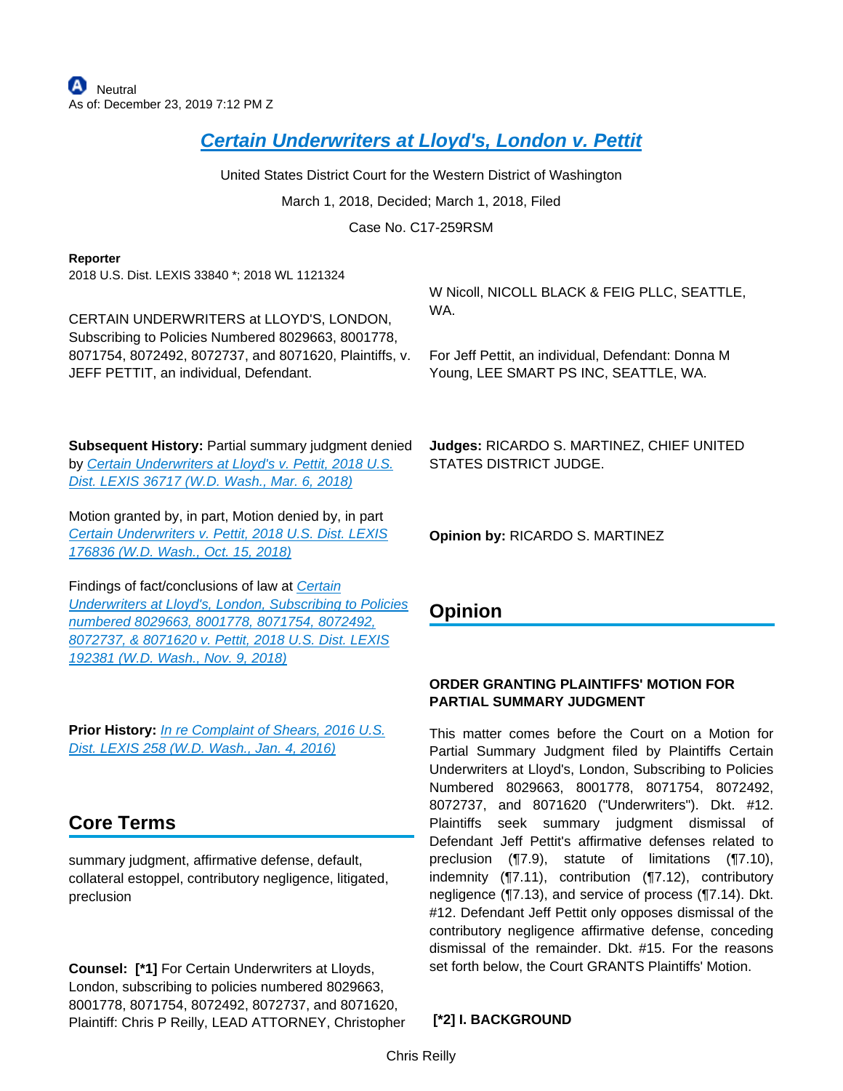# **[Certain Underwriters at Lloyd's, London v. Pettit](https://advance.lexis.com/api/document?collection=cases&id=urn:contentItem:5RSB-NVB1-F8SS-616N-00000-00&context=)**

United States District Court for the Western District of Washington

March 1, 2018, Decided; March 1, 2018, Filed

Case No. C17-259RSM

#### **Reporter**

2018 U.S. Dist. LEXIS 33840 \*; 2018 WL 1121324

CERTAIN UNDERWRITERS at LLOYD'S, LONDON, Subscribing to Policies Numbered 8029663, 8001778, 8071754, 8072492, 8072737, and 8071620, Plaintiffs, v. JEFF PETTIT, an individual, Defendant.

**Subsequent History:** Partial summary judgment denied by Certain Underwriters at Lloyd's v. Pettit, 2018 U.S. [Dist. LEXIS 36717 \(W.D. Wash., Mar. 6, 2018\)](https://advance.lexis.com/api/document?collection=cases&id=urn:contentItem:5RTD-HS91-F2F4-G0NV-00000-00&context=)

Motion granted by, in part, Motion denied by, in part [Certain Underwriters v. Pettit, 2018 U.S. Dist. LEXIS](https://advance.lexis.com/api/document?collection=cases&id=urn:contentItem:5TGV-XXF1-DYMS-62KM-00000-00&context=)  [176836 \(W.D. Wash., Oct. 15, 2018\)](https://advance.lexis.com/api/document?collection=cases&id=urn:contentItem:5TGV-XXF1-DYMS-62KM-00000-00&context=)

Findings of fact/conclusions of law at [Certain](https://advance.lexis.com/api/document?collection=cases&id=urn:contentItem:5TP9-9CT1-FBN1-200B-00000-00&context=)  [Underwriters at Lloyd's, London, Subscribing to Policies](https://advance.lexis.com/api/document?collection=cases&id=urn:contentItem:5TP9-9CT1-FBN1-200B-00000-00&context=)  [numbered 8029663, 8001778, 8071754, 8072492,](https://advance.lexis.com/api/document?collection=cases&id=urn:contentItem:5TP9-9CT1-FBN1-200B-00000-00&context=)  [8072737, & 8071620 v. Pettit, 2018 U.S. Dist. LEXIS](https://advance.lexis.com/api/document?collection=cases&id=urn:contentItem:5TP9-9CT1-FBN1-200B-00000-00&context=)  [192381 \(W.D. Wash., Nov. 9, 2018\)](https://advance.lexis.com/api/document?collection=cases&id=urn:contentItem:5TP9-9CT1-FBN1-200B-00000-00&context=)

**Prior History:** [In re Complaint of Shears, 2016 U.S.](https://advance.lexis.com/api/document?collection=cases&id=urn:contentItem:5HSJ-2TB1-F04F-J0JP-00000-00&context=)  [Dist. LEXIS 258 \(W.D. Wash., Jan. 4, 2016\)](https://advance.lexis.com/api/document?collection=cases&id=urn:contentItem:5HSJ-2TB1-F04F-J0JP-00000-00&context=)

# **Core Terms**

summary judgment, affirmative defense, default, collateral estoppel, contributory negligence, litigated, preclusion

**Counsel: [\*1]** For Certain Underwriters at Lloyds, London, subscribing to policies numbered 8029663, 8001778, 8071754, 8072492, 8072737, and 8071620, Plaintiff: Chris P Reilly, LEAD ATTORNEY, Christopher W Nicoll, NICOLL BLACK & FEIG PLLC, SEATTLE, WA.

For Jeff Pettit, an individual, Defendant: Donna M Young, LEE SMART PS INC, SEATTLE, WA.

**Judges:** RICARDO S. MARTINEZ, CHIEF UNITED STATES DISTRICT JUDGE.

**Opinion by:** RICARDO S. MARTINEZ

## **Opinion**

### **ORDER GRANTING PLAINTIFFS' MOTION FOR PARTIAL SUMMARY JUDGMENT**

This matter comes before the Court on a Motion for Partial Summary Judgment filed by Plaintiffs Certain Underwriters at Lloyd's, London, Subscribing to Policies Numbered 8029663, 8001778, 8071754, 8072492, 8072737, and 8071620 ("Underwriters"). Dkt. #12. Plaintiffs seek summary judgment dismissal of Defendant Jeff Pettit's affirmative defenses related to preclusion (¶7.9), statute of limitations (¶7.10), indemnity (¶7.11), contribution (¶7.12), contributory negligence (¶7.13), and service of process (¶7.14). Dkt. #12. Defendant Jeff Pettit only opposes dismissal of the contributory negligence affirmative defense, conceding dismissal of the remainder. Dkt. #15. For the reasons set forth below, the Court GRANTS Plaintiffs' Motion.

 **[\*2] I. BACKGROUND**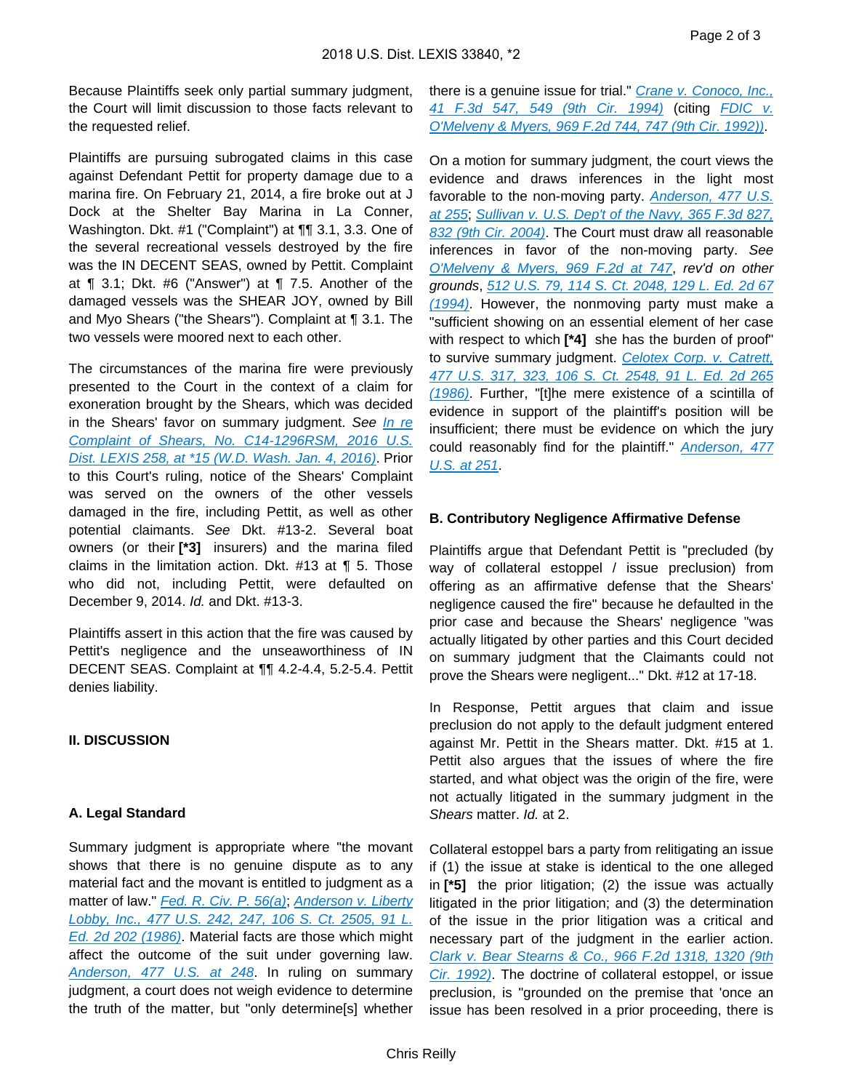Because Plaintiffs seek only partial summary judgment, the Court will limit discussion to those facts relevant to the requested relief.

Plaintiffs are pursuing subrogated claims in this case against Defendant Pettit for property damage due to a marina fire. On February 21, 2014, a fire broke out at J Dock at the Shelter Bay Marina in La Conner, Washington. Dkt. #1 ("Complaint") at ¶¶ 3.1, 3.3. One of the several recreational vessels destroyed by the fire was the IN DECENT SEAS, owned by Pettit. Complaint at ¶ 3.1; Dkt. #6 ("Answer") at ¶ 7.5. Another of the damaged vessels was the SHEAR JOY, owned by Bill and Myo Shears ("the Shears"). Complaint at ¶ 3.1. The two vessels were moored next to each other.

The circumstances of the marina fire were previously presented to the Court in the context of a claim for exoneration brought by the Shears, which was decided in the Shears' favor on summary judgment. See In re [Complaint of Shears, No. C14-1296RSM, 2016 U.S.](https://advance.lexis.com/api/document?collection=cases&id=urn:contentItem:5HSJ-2TB1-F04F-J0JP-00000-00&context=)  [Dist. LEXIS 258, at \\*15 \(W.D. Wash. Jan. 4, 2016\)](https://advance.lexis.com/api/document?collection=cases&id=urn:contentItem:5HSJ-2TB1-F04F-J0JP-00000-00&context=). Prior to this Court's ruling, notice of the Shears' Complaint was served on the owners of the other vessels damaged in the fire, including Pettit, as well as other potential claimants. See Dkt. #13-2. Several boat owners (or their **[\*3]** insurers) and the marina filed claims in the limitation action. Dkt. #13 at  $\P$  5. Those who did not, including Pettit, were defaulted on December 9, 2014. Id. and Dkt. #13-3.

Plaintiffs assert in this action that the fire was caused by Pettit's negligence and the unseaworthiness of IN DECENT SEAS. Complaint at ¶¶ 4.2-4.4, 5.2-5.4. Pettit denies liability.

#### **II. DISCUSSION**

#### **A. Legal Standard**

Summary judgment is appropriate where "the movant shows that there is no genuine dispute as to any material fact and the movant is entitled to judgment as a matter of law." [Fed. R. Civ. P. 56\(a\)](https://advance.lexis.com/api/document?collection=statutes-legislation&id=urn:contentItem:5GYC-2421-6N19-F165-00000-00&context=); Anderson v. Liberty [Lobby, Inc., 477 U.S. 242, 247, 106 S. Ct. 2505, 91 L.](https://advance.lexis.com/api/document?collection=cases&id=urn:contentItem:3S4X-6H80-0039-N37M-00000-00&context=)  [Ed. 2d 202 \(1986\)](https://advance.lexis.com/api/document?collection=cases&id=urn:contentItem:3S4X-6H80-0039-N37M-00000-00&context=). Material facts are those which might affect the outcome of the suit under governing law. [Anderson, 477 U.S. at 248](https://advance.lexis.com/api/document?collection=cases&id=urn:contentItem:3S4X-6H80-0039-N37M-00000-00&context=). In ruling on summary judgment, a court does not weigh evidence to determine the truth of the matter, but "only determine[s] whether

there is a genuine issue for trial." Crane v. Conoco, Inc., [41 F.3d 547, 549 \(9th Cir. 1994\)](https://advance.lexis.com/api/document?collection=cases&id=urn:contentItem:3S4X-0NW0-003B-P47N-00000-00&context=) (citing [FDIC v.](https://advance.lexis.com/api/document?collection=cases&id=urn:contentItem:3S4X-2TW0-008H-V165-00000-00&context=)  [O'Melveny & Myers, 969 F.2d 744, 747 \(9th Cir. 1992\)\)](https://advance.lexis.com/api/document?collection=cases&id=urn:contentItem:3S4X-2TW0-008H-V165-00000-00&context=).

On a motion for summary judgment, the court views the evidence and draws inferences in the light most favorable to the non-moving party. Anderson, 477 U.S. [at 255](https://advance.lexis.com/api/document?collection=cases&id=urn:contentItem:3S4X-6H80-0039-N37M-00000-00&context=); [Sullivan v. U.S. Dep't of the Navy, 365 F.3d 827,](https://advance.lexis.com/api/document?collection=cases&id=urn:contentItem:4C77-XD00-0038-X407-00000-00&context=)  [832 \(9th Cir. 2004\)](https://advance.lexis.com/api/document?collection=cases&id=urn:contentItem:4C77-XD00-0038-X407-00000-00&context=). The Court must draw all reasonable inferences in favor of the non-moving party. See [O'Melveny & Myers, 969 F.2d at 747](https://advance.lexis.com/api/document?collection=cases&id=urn:contentItem:3S4X-2TW0-008H-V165-00000-00&context=), rev'd on other grounds, [512 U.S. 79, 114 S. Ct. 2048, 129 L. Ed. 2d 67](https://advance.lexis.com/api/document?collection=cases&id=urn:contentItem:3S65-JVJ0-003B-R09N-00000-00&context=)  [\(1994\)](https://advance.lexis.com/api/document?collection=cases&id=urn:contentItem:3S65-JVJ0-003B-R09N-00000-00&context=). However, the nonmoving party must make a "sufficient showing on an essential element of her case with respect to which **[\*4]** she has the burden of proof" to survive summary judgment. Celotex Corp. v. Catrett, [477 U.S. 317, 323, 106 S. Ct. 2548, 91 L. Ed. 2d 265](https://advance.lexis.com/api/document?collection=cases&id=urn:contentItem:3S4X-6HC0-0039-N37R-00000-00&context=)  [\(1986\)](https://advance.lexis.com/api/document?collection=cases&id=urn:contentItem:3S4X-6HC0-0039-N37R-00000-00&context=). Further, "[t]he mere existence of a scintilla of evidence in support of the plaintiff's position will be insufficient; there must be evidence on which the jury could reasonably find for the plaintiff." Anderson, 477 [U.S. at 251](https://advance.lexis.com/api/document?collection=cases&id=urn:contentItem:3S4X-6H80-0039-N37M-00000-00&context=).

#### **B. Contributory Negligence Affirmative Defense**

Plaintiffs argue that Defendant Pettit is "precluded (by way of collateral estoppel / issue preclusion) from offering as an affirmative defense that the Shears' negligence caused the fire" because he defaulted in the prior case and because the Shears' negligence "was actually litigated by other parties and this Court decided on summary judgment that the Claimants could not prove the Shears were negligent..." Dkt. #12 at 17-18.

In Response, Pettit argues that claim and issue preclusion do not apply to the default judgment entered against Mr. Pettit in the Shears matter. Dkt. #15 at 1. Pettit also argues that the issues of where the fire started, and what object was the origin of the fire, were not actually litigated in the summary judgment in the Shears matter. Id. at 2.

Collateral estoppel bars a party from relitigating an issue if (1) the issue at stake is identical to the one alleged in **[\*5]** the prior litigation; (2) the issue was actually litigated in the prior litigation; and (3) the determination of the issue in the prior litigation was a critical and necessary part of the judgment in the earlier action. [Clark v. Bear Stearns & Co., 966 F.2d 1318, 1320 \(9th](https://advance.lexis.com/api/document?collection=cases&id=urn:contentItem:3S4X-37J0-008H-V3D9-00000-00&context=)  [Cir. 1992\)](https://advance.lexis.com/api/document?collection=cases&id=urn:contentItem:3S4X-37J0-008H-V3D9-00000-00&context=). The doctrine of collateral estoppel, or issue preclusion, is "grounded on the premise that 'once an issue has been resolved in a prior proceeding, there is